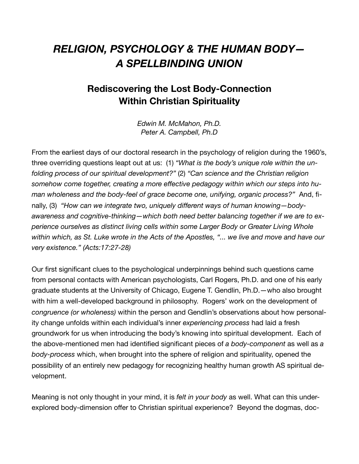## *RELIGION, PSYCHOLOGY & THE HUMAN BODY— A SPELLBINDING UNION*

## **Rediscovering the Lost Body-Connection Within Christian Spirituality**

*Edwin M. McMahon, Ph.D. Peter A. Campbell, Ph.D*

From the earliest days of our doctoral research in the psychology of religion during the 1960's, three overriding questions leapt out at us: (1) *"What is the body's unique role within the unfolding process of our spiritual development?"* (2) *"Can science and the Christian religion somehow come together, creating a more effective pedagogy within which our steps into human wholeness and the body-feel of grace become one, unifying, organic process?"* And, finally, (3) *"How can we integrate two, uniquely different ways of human knowing—bodyawareness and cognitive-thinking—which both need better balancing together if we are to experience ourselves as distinct living cells within some Larger Body or Greater Living Whole within which, as St. Luke wrote in the Acts of the Apostles, "... we live and move and have our very existence." (Acts:17:27-28)*

Our first significant clues to the psychological underpinnings behind such questions came from personal contacts with American psychologists, Carl Rogers, Ph.D. and one of his early graduate students at the University of Chicago, Eugene T. Gendlin, Ph.D.—who also brought with him a well-developed background in philosophy. Rogers' work on the development of *congruence (or wholeness)* within the person and Gendlin's observations about how personality change unfolds within each individual's inner *experiencing process* had laid a fresh groundwork for us when introducing the body's knowing into spiritual development. Each of the above-mentioned men had identified significant pieces of *a body-component* as well as *a body-process* which, when brought into the sphere of religion and spirituality, opened the possibility of an entirely new pedagogy for recognizing healthy human growth AS spiritual development.

Meaning is not only thought in your mind, it is *felt in your body* as well. What can this underexplored body-dimension offer to Christian spiritual experience? Beyond the dogmas, doc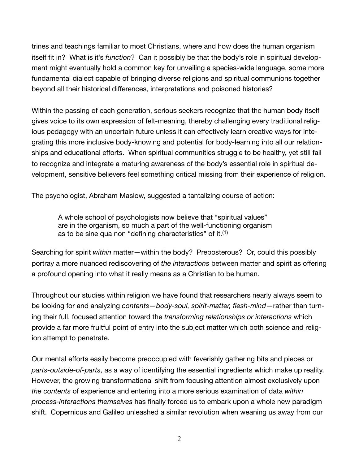trines and teachings familiar to most Christians, where and how does the human organism itself fit in? What is it's *function*? Can it possibly be that the body's role in spiritual development might eventually hold a common key for unveiling a species-wide language, some more fundamental dialect capable of bringing diverse religions and spiritual communions together beyond all their historical differences, interpretations and poisoned histories?

Within the passing of each generation, serious seekers recognize that the human body itself gives voice to its own expression of felt-meaning, thereby challenging every traditional religious pedagogy with an uncertain future unless it can effectively learn creative ways for integrating this more inclusive body-knowing and potential for body-learning into all our relationships and educational efforts. When spiritual communities struggle to be healthy, yet still fail to recognize and integrate a maturing awareness of the body's essential role in spiritual development, sensitive believers feel something critical missing from their experience of religion.

The psychologist, Abraham Maslow, suggested a tantalizing course of action:

A whole school of psychologists now believe that "spiritual values" are in the organism, so much a part of the well-functioning organism as to be sine qua non "defining characteristics" of it.(1)

Searching for spirit *within* matter—within the body? Preposterous? Or, could this possibly portray a more nuanced rediscovering of *the interactions* between matter and spirit as offering a profound opening into what it really means as a Christian to be human.

Throughout our studies within religion we have found that researchers nearly always seem to be looking for and analyzing *contents*—*body-soul, spirit-matter, flesh-mind*—rather than turning their full, focused attention toward the *transforming relationships or interactions* which provide a far more fruitful point of entry into the subject matter which both science and religion attempt to penetrate.

Our mental efforts easily become preoccupied with feverishly gathering bits and pieces or *parts-outside-of-parts*, as a way of identifying the essential ingredients which make up reality. However, the growing transformational shift from focusing attention almost exclusively upon *the contents* of experience and entering into a more serious examination of data *within process-interactions themselves* has finally forced us to embark upon a whole new paradigm shift. Copernicus and Galileo unleashed a similar revolution when weaning us away from our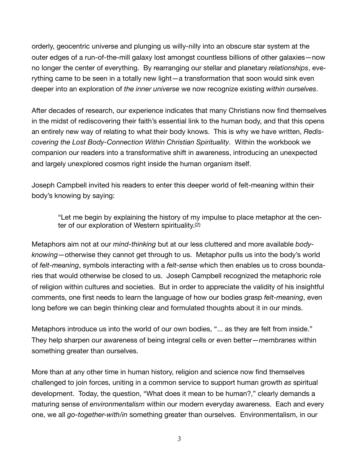orderly, geocentric universe and plunging us willy-nilly into an obscure star system at the outer edges of a run-of-the-mill galaxy lost amongst countless billions of other galaxies—now no longer the center of everything. By rearranging our stellar and planetary *relationships*, everything came to be seen in a totally new light—a transformation that soon would sink even deeper into an exploration of *the inner universe* we now recognize existing *within ourselves*.

After decades of research, our experience indicates that many Christians now find themselves in the midst of rediscovering their faith's essential link to the human body, and that this opens an entirely new way of relating to what their body knows. This is why we have written, *Rediscovering the Lost Body-Connection Within Christian Spirituality*. Within the workbook we companion our readers into a transformative shift in awareness, introducing an unexpected and largely unexplored cosmos right inside the human organism itself.

Joseph Campbell invited his readers to enter this deeper world of felt-meaning within their body's knowing by saying:

"Let me begin by explaining the history of my impulse to place metaphor at the center of our exploration of Western spirituality.(2)

Metaphors aim not at our *mind-thinking* but at our less cluttered and more available *bodyknowing*—otherwise they cannot get through to us. Metaphor pulls us into the body's world of *felt-meaning*, symbols interacting with a *felt-sense* which then enables us to cross boundaries that would otherwise be closed to us. Joseph Campbell recognized the metaphoric role of religion within cultures and societies. But in order to appreciate the validity of his insightful comments, one first needs to learn the language of how our bodies grasp *felt-meaning*, even long before we can begin thinking clear and formulated thoughts about it in our minds.

Metaphors introduce us into the world of our own bodies, "... as they are felt from inside." They help sharpen our awareness of being integral cells or even better—*membranes* within something greater than ourselves.

More than at any other time in human history, religion and science now find themselves challenged to join forces, uniting in a common service to support human growth *as* spiritual development. Today, the question, "What does it mean to be human?," clearly demands a maturing sense of *environmentalism* within our modern everyday awareness. Each and every one, we all *go-together-with/in* something greater than ourselves. Environmentalism, in our